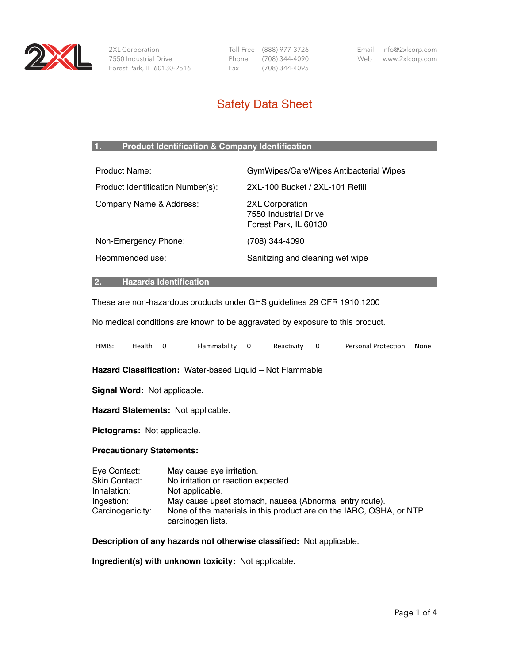

 2XL Corporation 7550 Industrial Drive Forest Park, IL 60130-2516  Toll-Free (888) 977-3726 Phone (708) 344-4090 Fax (708) 344-4095

Email info@2xlcorp.com Web www.2xlcorp.com

# Safety Data Sheet

## **1. Product Identification & Company Identification**

| <b>Product Name:</b>              | GymWipes/CareWipes Antibacterial Wipes                            |
|-----------------------------------|-------------------------------------------------------------------|
| Product Identification Number(s): | 2XL-100 Bucket / 2XL-101 Refill                                   |
| Company Name & Address:           | 2XL Corporation<br>7550 Industrial Drive<br>Forest Park, IL 60130 |
| Non-Emergency Phone:              | (708) 344-4090                                                    |
| Reommended use:                   | Sanitizing and cleaning wet wipe                                  |
|                                   |                                                                   |

#### **2. Hazards Identification**

These are non-hazardous products under GHS guidelines 29 CFR 1910.1200

No medical conditions are known to be aggravated by exposure to this product.

| HMIS:                                                                                                                                                            | Health                                                    | $\overline{0}$ | Flammability 0                                                                      |  | Reactivity | $\mathbf 0$ | <b>Personal Protection</b> | None |
|------------------------------------------------------------------------------------------------------------------------------------------------------------------|-----------------------------------------------------------|----------------|-------------------------------------------------------------------------------------|--|------------|-------------|----------------------------|------|
|                                                                                                                                                                  | Hazard Classification: Water-based Liquid – Not Flammable |                |                                                                                     |  |            |             |                            |      |
| Signal Word: Not applicable.                                                                                                                                     |                                                           |                |                                                                                     |  |            |             |                            |      |
|                                                                                                                                                                  |                                                           |                | Hazard Statements: Not applicable.                                                  |  |            |             |                            |      |
| Pictograms: Not applicable.                                                                                                                                      |                                                           |                |                                                                                     |  |            |             |                            |      |
| <b>Precautionary Statements:</b>                                                                                                                                 |                                                           |                |                                                                                     |  |            |             |                            |      |
| Eye Contact:<br>Skin Contact:<br>Inhalation:                                                                                                                     |                                                           |                | May cause eye irritation.<br>No irritation or reaction expected.<br>Not applicable. |  |            |             |                            |      |
| May cause upset stomach, nausea (Abnormal entry route).<br>Ingestion:<br>None of the materials in this product are on the IARC, OSHA, or NTP<br>Carcinogenicity: |                                                           |                |                                                                                     |  |            |             |                            |      |

**Description of any hazards not otherwise classified:** Not applicable.

**Ingredient(s) with unknown toxicity:** Not applicable.

carcinogen lists.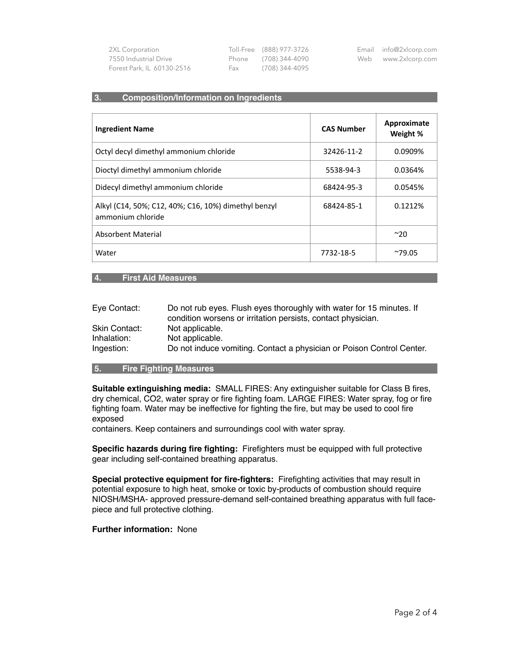| 2XL Corporation            |     | Toll-Free (888) 977-3726 | Email info@2xlcorp.com |
|----------------------------|-----|--------------------------|------------------------|
| 7550 Industrial Drive      |     | Phone (708) 344-4090     | Web www.2xlcorp.com    |
| Forest Park, IL 60130-2516 | Fax | (708) 344-4095           |                        |

### **3. Composition/Information on Ingredients**

| <b>Ingredient Name</b>                                                    | <b>CAS Number</b> | Approximate<br>Weight % |
|---------------------------------------------------------------------------|-------------------|-------------------------|
| Octyl decyl dimethyl ammonium chloride                                    | 32426-11-2        | 0.0909%                 |
| Dioctyl dimethyl ammonium chloride                                        | 5538-94-3         | 0.0364%                 |
| Didecyl dimethyl ammonium chloride                                        | 68424-95-3        | 0.0545%                 |
| Alkyl (C14, 50%; C12, 40%; C16, 10%) dimethyl benzyl<br>ammonium chloride | 68424-85-1        | 0.1212%                 |
| Absorbent Material                                                        |                   | $^{\sim}20$             |
| Water                                                                     | 7732-18-5         | $^{\sim}79.05$          |

## **4. First Aid Measures**

| Eye Contact:  | Do not rub eyes. Flush eyes thoroughly with water for 15 minutes. If  |
|---------------|-----------------------------------------------------------------------|
|               | condition worsens or irritation persists, contact physician.          |
| Skin Contact: | Not applicable.                                                       |
| Inhalation:   | Not applicable.                                                       |
| Ingestion:    | Do not induce vomiting. Contact a physician or Poison Control Center. |

## **5. Fire Fighting Measures**

**Suitable extinguishing media:** SMALL FIRES: Any extinguisher suitable for Class B fires, dry chemical, CO2, water spray or fire fighting foam. LARGE FIRES: Water spray, fog or fire fighting foam. Water may be ineffective for fighting the fire, but may be used to cool fire exposed

containers. Keep containers and surroundings cool with water spray.

**Specific hazards during fire fighting:** Firefighters must be equipped with full protective gear including self-contained breathing apparatus.

**Special protective equipment for fire-fighters:** Firefighting activities that may result in potential exposure to high heat, smoke or toxic by-products of combustion should require NIOSH/MSHA- approved pressure-demand self-contained breathing apparatus with full facepiece and full protective clothing.

#### **Further information:** None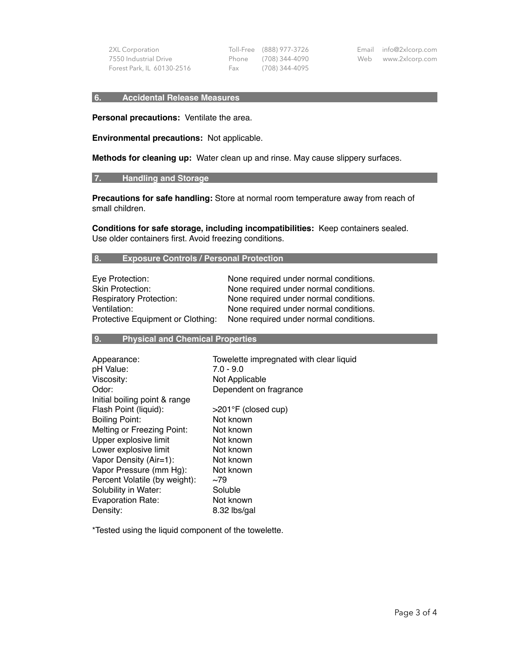2XL Corporation 7550 Industrial Drive Forest Park, IL 60130-2516

 Toll-Free (888) 977-3726 Phone (708) 344-4090 Fax (708) 344-4095

Email info@2xlcorp.com Web www.2xlcorp.com

#### **6. Accidental Release Measures**

**Personal precautions:** Ventilate the area.

**Environmental precautions:** Not applicable.

**Methods for cleaning up:** Water clean up and rinse. May cause slippery surfaces.

#### **7. Handling and Storage**

**Precautions for safe handling:** Store at normal room temperature away from reach of small children.

**Conditions for safe storage, including incompatibilities:** Keep containers sealed. Use older containers first. Avoid freezing conditions.

### **8. Exposure Controls / Personal Protection**

| Eye Protection:                   | None required under normal conditions. |
|-----------------------------------|----------------------------------------|
| <b>Skin Protection:</b>           | None required under normal conditions. |
| <b>Respiratory Protection:</b>    | None required under normal conditions. |
| Ventilation:                      | None required under normal conditions. |
| Protective Equipment or Clothing: | None required under normal conditions. |

### **9. Physical and Chemical Properties**

| Appearance:                   | Towelette impregnated with clear liquid |
|-------------------------------|-----------------------------------------|
| pH Value:                     | $7.0 - 9.0$                             |
| Viscosity:                    | Not Applicable                          |
| Odor:                         | Dependent on fragrance                  |
| Initial boiling point & range |                                         |
| Flash Point (liquid):         | $>201$ °F (closed cup)                  |
| <b>Boiling Point:</b>         | Not known                               |
| Melting or Freezing Point:    | Not known                               |
| Upper explosive limit         | Not known                               |
| Lower explosive limit         | Not known                               |
| Vapor Density (Air=1):        | Not known                               |
| Vapor Pressure (mm Hg):       | Not known                               |
| Percent Volatile (by weight): | ~1                                      |
| Solubility in Water:          | Soluble                                 |
| Evaporation Rate:             | Not known                               |
| Density:                      | 8.32 lbs/gal                            |

\*Tested using the liquid component of the towelette.